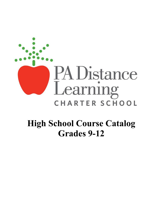

# **High School Course Catalog Grades 9-12**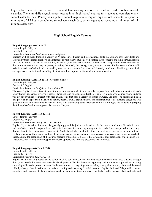High school students are expected to attend live-learning sessions as listed on his/her online school calendar. There are daily asynchronous lessons in all high school courses for students to complete every school calendar day. Pennsylvania public school regulations require high school students to spend a minimum of 5.5 hours completing school work each day, which equates to spending a minimum of 45 minutes each class.

# **High School English Courses**

# **English Language Arts IA & IB**

Course length: Full-year

Credits: 1.0 English

Curriculum Resources: *StudySync, Romeo and Juliet*

Students will be taken through a variety of  $9<sup>th</sup>$  grade level literary and informational texts that explore how individuals are affected by their choices, journeys, and interactions with others. Students will explore these concepts and skills through fiction and non-fiction text as well as in narrative, expository, and persuasive writing. Students will compare how these elements of literature manifest in a variety of genres, including the novel, short story, poem, play and others. Furthermore, students will write in a variety of school and real world genres over the course of the year. Additionally, students will utilize grammatical concepts to deepen their understanding of a text as well as improve written and oral communication.

#### **English Language Arts IIA & IIB (Keystone Course)**

Course length: Full-year

Credits: 1.0 English

Curriculum Resources: *StudySync, Fahrenheit 451*

The core English II units take students through informative and literary texts that explore how individuals interact with each other through exchanges involving culture, language, and relationships. English II is a  $10<sup>th</sup>$  grade level course where students will get opportunities to interact with high quality texts that span a variety of genres, cultures, and eras. The selections in each unit provide an appropriate balance of fiction, poetry, drama, argumentative, and informational texts. Reading selections will gradually increase in text complexity across units with challenging texts accompanied by scaffolding to aid students in grasping the full depth of their meaning over the course of the year.

# **English Language Arts IIIA & IIIB**

Course length: Full-year

Credits: 1.0 English

Curriculum Resources: *StudySync, The Crucible*

English III, or American Literature, is typically suggested for junior level students. In this course, students will study literary and nonfiction texts that capture key periods in American literature, beginning with the early American period and moving through time to the contemporary movement. Students will also be able to utilize the writing process in order to hone their skills and enhance their understanding of different writing forms including informative, reflective, creative and researched based. During the second half of the course, students will complete a Career Project, required for graduation, which entails job shadowing, researching, exploring post-secondary options, and formally presenting their findings.

# **English Language Arts IVA & IVB**

Course length: Full-year Credits: 1.0 English

Curriculum Resource: *StudySync, 1984*

English IV, a year-long course at the senior level, is split between the first and second semester and takes students through literary and nonfiction texts that trace the development of British literature beginning with the medieval period and moving chronologically to the present moment. Students examine a variety of genres including poetry, short stories, plays, and the novel 1984 by George Orwell. With an emphasis on reading and analyzing British Literature, English IVA and IVB provide content, activities, and resources to help students excel in reading, writing, and analyzing texts. Highly focused short and extended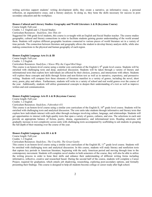writing activities support students' writing development skills; they create a narrative, an informative essay, a personal reflection, an argumentative essay, and a literary analysis. In doing so, they hone the skills necessary for success in postsecondary education and the workplace.

# **Honors Cultural and Literary Studies: Geography and World Literature A & B (Keystone Course)**

Course length: Full-year

Credits: 1.2 English and 1.2 Social Studies

Curriculum Resources: *StudySync, Into Thin Air*

Suggested for 10th grade level students, this course is co-taught with an English and Social Studies teacher. The course studies geographic, cultural and literary connections in order to facilitate students gaining greater understanding of the world around them. Students will explore different geographic locations connected to various pieces of world literature set in a variety of time periods. The connection between literature and geography allows the student to develop literary analysis skills, while also making connections to the physical and human geography of each region.

#### **Honors English Language Arts IA & IB**

Course length: Full-year

Credits: 1.2 English

Curriculum Resources: *StudySync, I Know Why the Caged Bird Sings*

This course is an honors-level course using a similar core curriculum of the English I,  $9<sup>th</sup>$  grade level course. Students will be enriched with challenging texts and deep, analytical discussion. Students will be taken through a variety of literary and informational texts that explore how individuals are affected by their choices, journeys, and interactions with others. Students will explore these concepts and skills through fiction and non-fiction text as well as in narrative, expository, and persuasive writing. Students will compare how these elements of literature manifest in a variety of genres, including the novel, short story, poem, play and others. Furthermore, students will write in a variety of school and real world genres over the course of the year. Additionally, students will utilize grammatical concepts to deepen their understanding of a text as well as improve written and oral communication.

# **Honors English Language Arts II A & B (Keystone Course)**

Course length: Full-year

Credits: 1.2 English

# Curriculum Resources: *StudySync, Fahrenheit 451*

This course is an honors-level course using a similar core curriculum of the English II,  $10<sup>th</sup>$  grade level course. Students will be enriched with challenging texts and analytical discussion. The core units take students through informative and literary texts that explore how individuals interact with each other through exchanges involving culture, language, and relationships. Students will get opportunities to interact with high quality texts that span a variety of genres, cultures, and eras. The selections in each unit provide an appropriate balance of fiction, poetry, drama, argumentative, and informational texts. Reading selections will gradually increase in text complexity across units with challenging texts accompanied by scaffolding to aid students in grasping the full depth of their meaning over the course of the year.

#### **Honors English Language Arts III A & B**

Course length: Full-year

Credits: 1.2 English

# Curriculum Resources: *StudySync, The Crucible, The Great Gatsby*

This course is an honors-level course using a similar core curriculum of the English III, 11<sup>th</sup> grade level course. Students will be enriched with challenging texts and analytical discussion. In this course, students will study literary and nonfiction texts that capture key periods in American literature, beginning with the early American period and moving through time to the contemporary movement. Students will complete novel studies in both semesters of the course, they will also be able to utilize the writing process in order to hone their skills and enhance their understanding of different writing forms including informative, reflective, creative and researched based. During the second half of the course, students will complete a Career Project, required for graduation, which entails job shadowing, researching, exploring post-secondary options, and formally presenting their findings. This course is designed to help all students become college or career ready after high school.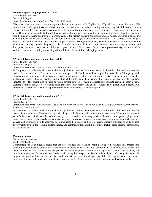# **Honors English Language Arts IV A & B**

Course length: Full-year Credits: 1.2 English

Curriculum Resources: *StudySync, 1984, Pride & Prejudice*

This course is an honors-level course using a similar core curriculum of the English IV,  $12<sup>th</sup>$  grade level course. Students will be enriched with challenging texts and analytical discussion. With an emphasis on reading and analyzing British literature, Honors English IVA and IVB provide advanced content, activities, and resources to help today's students prepare to excel at the college level. The course takes students through literary and nonfiction texts that trace the development of British literature beginning with the medieval period and moving chronologically to the present moment. Students examine a variety of genres in this course including poetry, short stories, plays, and the novels *Pride and Prejudice* by Jane Austen and *1984* by George Orwell. Highlyfocused, short and extended writing activities support students' writing development, while an emphasis on writing conventions helps them solidify superior language skills. Extended activities include writing poetry, literature analysis essays, and descriptive, narrative, persuasive, and informative pieces using skills necessary for success in post-secondary education and the workplace. Advanced reading and writing skills will be the focus of this challenging course.

# **AP English Language and Composition A & B**

Course length: Full-year Credits: 1.2 English

Curriculum Resources: *AP Classroom, The Art of Voice, AMSCO*

AP Language is a college-level course available to juniors and seniors (recommended for juniors) that ultimately prepares the student for the Advanced Placement exam and college credit. Students will be required to take the AP Language and Composition exam as a part of this course. Students will primarily study and analyze a variety of prose writing, especially nonfictional pieces. Students' reading and writing skills will make them aware of a writer's purpose and the reader's expectations. The course also focuses on using outside sources to make a reliable and concrete argument about a text. Learning activities include close reading passages, discussions, essays and exams. Additionally, junior level students will complete a Career Project that will require research and exploring post-secondary options.

# **AP English Literature and Composition A & B**

Course length: Full-year

Credits: 1.2 English

Curriculum Resources: *AP Classroom, The Book of Poetry, Jane Eyre, Their Eyes Were Watching God, Hamlet, Frankenstein, the Great Gatsby,* and *1984*

AP Literature is a college-level course available to juniors and seniors (recommended for seniors) that ultimately prepares the student for the Advanced Placement exam and college credit. Students will be required to take the AP Literature exam as a part of this course. Students will study and analyze classic and contemporary works of literature in all genres: plays, short stories, poetry, essays, and novels. An emphasis is placed on critical thinking skills necessary for understanding challenging material and composition skills necessary to communicate their understanding effectively. Students will learn to apply critical literary terms as tools for learning, understanding, and communication. Learning activities include close reading, discussions, essays, and exams.

#### **Communications**

Course length: Semester Credits: 0.5 English

Communications is an English course that explores business and technical writing, along with business and professional speaking. Communicating effectively is necessary in all fields of work and in all environments. The coursework focuses on understanding the rhetorical situation, the persuasive technique process, technical writing, such as letters and resumes, the interview process, and formal speeches. Students will be required to speak in class both formally and informally. Students will prepare and present three formal speeches, and they will practice formal speaking skills when participating in a mock interview. Students will work on their real world skills, as well ask their reading, writing, speaking, and listening skills.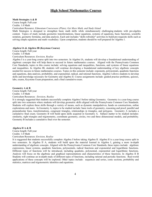# **High School Mathematics Courses**

#### **Math Strategies A & B**

Course length: Full-year Credits: 1.0 Math

Curriculum Resource: *Edmentum Courseware (Plato), Get More Math, and Study Island* 

Math Strategies is designed to strengthen basic math skills while simultaneously challenging students with pre-algebra content. Topics of study include geometric transformations, linear equations, systems of equations, basic functions, scientific notation, geometry formulas, and data analysis. Each unit includes "skills refresher" activities to build pre-requisite skills such as solving simple equations and math vocabulary. Upon completion, students should be well prepared for Algebra 1.

## **Algebra IA & Algebra IB (Keystone Course)**

Course length: Full-year

Credits: 1.0 Math

Curriculum Resources: *Envision, Realize*

Algebra I is a year-long course split into two semesters. In Algebra IA, students will develop a foundational understanding of algebraic concepts that will help them to succeed in future mathematics courses. Aligned with the Pennsylvania Common Core Standards, topics in this course include: solving equations and inequalities, functions, and systems of linear equations and inequalities. In Algebra IB, students will continue developing a foundational understanding of key algebraic concepts needed for success in future mathematics courses. Topics in this semester include: exponents, polynomials, quadratic functions and equations, data analysis, probability, and exponential, radical, and rational functions. Algebra I allows students to develop skills and knowledge necessary for Geometry and Algebra II. Course assignments include: guided practice problems, quizzes, labs, exams, Keystone Exam preparation, and a final cumulative exam.

#### **Geometry A & B**

Course length: Full-year

Credits: 1.0 Math

Curriculum Resources: *Envision, Realize*

It is strongly suggested that students successfully complete Algebra I before taking Geometry. Geometry is a year-long course split into two semesters where students will develop geometric skills aligned with the Pennsylvania Common Core Standards. Students will explore these skills through a variety of means, such as dynamic manipulatives, hands on constructions, online explorations and more. In Geometry A, topics to be studied include: basic tools of geometry, reasoning and proof, parallel and perpendicular lines, transformations, congruent triangles, relationships in triangles, and polygons. Geometry A includes a cumulative final exam. Geometry B will build upon skills acquired in Geometry A. Subject matter to be studied includes: similarity, right triangles and trigonometry, coordinate geometry, circles, two and three dimensional models, and probability. Geometry B includes a cumulative final over the semester.

#### **Algebra II A & B**

Course length: Full-year Credits: 1.0 Math

Curriculum Resources: *Envision, Realize*

It is suggested that students successfully complete Algebra I before taking Algebra II. Algebra II is a year-long course split in two semesters. In Algebra II A, students will build upon the material learned in Algebra I, gaining a more in-depth understanding of algebraic concepts. Aligned with the Pennsylvania Common Core Standards, these topics include: algebraic expressions, linear systems, quadratic functions, polynomials, radical functions and exponential and logarithmic functions. Different types of functions will be introduced, including quadratic, polynomial, exponential and logarithmic functions. Analysis will focus on the algebraic and graphical representations and characteristics of these functions. In Algebra II B Students will continue an in-depth study of different types of functions, including rational and periodic functions. Real-world applications of these concepts will be explored. Other topics include: sequences and series, conic sections, probability and statistics, matrices and trigonometric identities and equations.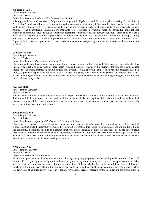#### **Pre-calculus A &B**

Course length: Full-year Credits: 1.0 Math

## Curriculum Resource: *McGraw Hill - Glencoe Pre-calculus*

It is suggested that students successfully complete Algebra I, Algebra II, and Geometry prior to taking Precalculus. In Precalculus A, students will develop a strong, in-depth mathematical foundation of functions that is necessary for upper-level mathematics. Students will review equations and graphs, as well as transformations of functions they have previously learned. Aligned to the Pennsylvania Common Core Standards, topics include: polynomial functions, power functions, rational functions, exponential functions, logistic functions, logarithmic functions and trigonometric functions. Precalculus B takes a more analytical approach to other topics needed for upper-level mathematics. Students will continue to develop a strong foundation of mathematical concepts to prepare them for calculus. Real-world applications of these topics will be explored. Topics include: analytic trigonometry, vectors, parametric equations, and polar systems, matrices, conics and an introduction to calculus.

## **Consumer Math:**

Course length: Semester Credits: 0.5 Math Curriculum Resource: *Edmentum Courseware: Plato*

This junior and senior level course is appropriate for all students wanting to learn the math skills necessary for daily life. It is extremely applicable to many facets of independent living and finance. It begins with a review of the four basic mathematical operations – addition, subtraction, multiplication, and division – while applying them to solve real-life problems and then addresses practical applications for math, such as wages, budgeting, taxes, money management, and interest and credit. Projects involving authentic, real-world activities are included that promote cross-curricular learning and higher-order thinking and problem-solving skills.

#### **Practical Math**

Course length: Semester

# Credits: 0.5 Math

Practical Math will focus on applying mathematical concepts from Algebra, Geometry and Probability to real-world situations. Students will look into topics such as math in different career fields, making financial decisions based on mathematical analysis, computer skills, cryptography, logic, and constructing virtual escape rooms. Students will develop the math skills necessary for their lives after high school.

#### **AP Calculus A & B**

Course length: Full-year

Credits: 1.2 Math

Curriculum Resource: *Apex Ap Calculus and AP Calculus AB Prep*

This course is a two-part advanced placement course providing students with the curriculum required by the College Board. It is suggested that student successfully complete Precalculus before taking this course. Topics include: infinite and finite limits and continuity, differential calculus of algebraic functions, integral calculus of algebraic functions, geometric and physical applications of integration and the calculus of elementary transcendental functions. Success in the course requires advanced mathematics skills. The use of a graphing calculator is considered an integral part of this course. The Advanced Placement Examination is required of all students taking this course.

#### **AP Statistics A & B**

Course length: Full-year Credits: 1.2 Math Curriculum Resource: *Apex Statistics*

AP Statistics gives students hands-on experience collecting, analyzing, graphing, and interpreting real-world data. They will learn to effectively design and analyze research studies by reviewing and evaluating real research examples taken from daily life. The next time they hear the results of a poll or study, they will know whether the results are valid. As the art of drawing conclusions from imperfect data and the science of real-world uncertainties, statistics plays an important role in many fields. The equivalent of an introductory college-level course, AP Statistics prepares students for the AP exam and for further study in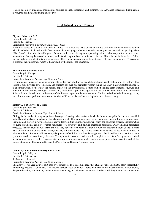science, sociology, medicine, engineering, political science, geography, and business. The Advanced Placement Examination is required of all students taking this course.

# **High School Science Courses**

# **Physical Science A & B**

Course length: Full-year Credits: 1.0 Science Curriculum Resource: *Edmentum Courseware: Plato*

In the first semester, students will study all things. All things are made of matter and we will look into each atom to realize what it includes. Included in this first semester is identifying a chemical reaction when you see one and recognizing when "The Force" of motion is with you. Students will be exploring concepts using virtual laboratory software and other interactives. During the second semester, students will explore how the universe behaves. This behavior includes force fields, energy, light waves, electricity and magnetism. This course does not use mathematics as a Physics course would. This course is great for the student who wants to know it all, without all of the equations.

#### **Environmental Science A & B**

Course length: Full-year

Credits: 1.0 Science

Curriculum Resource: *Savvas High School Science*

Environmental Science is a course appropriate for learners of all levels and abilities, but is usually taken prior to Biology. The course is split between two semesters, and students can take one semester without taking the other. Environmental Science A is an introduction to the study the human impact on the environment. Topics studied include earth systems, structure and function of ecosystems, ecological succession, biological populations, agriculture, and human land usage. Environmental Science B is an introduction to the study of the human impact on the environment. Topics studied include the energy crisis, air pollution, water pollution, environmental risk, solid waste disposal, ozone depletion and climate change.

#### **Biology A & B (Keystone Course)**

Course length: Full-year

Credits: 1.0 Science

# Curriculum Resource: *Savvas High School Science*

Biology is the study of living organisms. Biology is learning what makes a hawk fly, how a caterpillar becomes a beautiful butterfly, and studying ourselves in this changing world. There are new discoveries made every day in biology, so it is everchanging and there is always something new to learn. In this course, students will study the scientific process, characteristics of living organisms, ecology, organic molecules, cell structure, and cellular metabolic processes. Other amazing biological processes that the students will learn are why they have the eye color that they do, why the flowers in front of their homes have different colors on the same flower, and they will investigate why various insects have adapted to pesticides that used to eliminate them. Students will also study the process of cell division, Mendelian genetics, DNA and how it codes for protein synthesis, modern evolutionary theories. Throughout the course, students will complete a variety of assignments, virtual investigations, as well as live experiments, unit quizzes, assessments and Keystone exam preparation. Near the end of the course, students will be required to take the Pennsylvania Biology Keystone Exam.

# **Chemistry A & B and Chemistry Lab A & B**

Course length: Full-year Credits: 1.0 Science and

0.5 Science Lab credit

Curriculum Resource: *Savvas High School Science*

Chemistry is full-year course split into two semesters. It is recommended that students take Chemistry after successfully completing Algebra I. Chemistry A introduces various types of matter. Topics include scientific measurements, matter, atoms, the periodic table, compounds, moles, nuclear chemistry, and chemical equations. Students will begin to make connections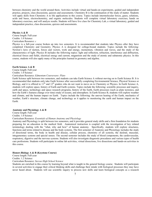between chemistry and the world around them. Activities include virtual and hands-on experiments, guided and independent practice, projects, class discussions, quizzes and assessments. Chemistry B is the continuation of the study of matter. Students will apply skills from Chemistry A to life applications in this course. Topics include intermolecular forces, gases, solutions, acids and bases, electrochemistry, and organic molecules. Students will complete virtual laboratory exercises, hands on laboratory exercises, and will analyze results. Students will have live class for Chemistry Lab, a virtual laboratory, guided and independent practice, class discussions, quizzes and assessments.

#### **Physics A & B**

Course length: Full-year Credits: 1.0 Science Curriculum Resource: *c*

Physics is a full-year course broken up into two semesters. It is recommended that students take Physics after they have completed Chemistry and Geometry. Physics A is designed for college-bound students. Topics include the following: Newton's laws of motion, forces and vectors, work and energy, momentum, vibration and waves, and the study of the characteristics of light. Physics B includes the following topics: light and reflection, refraction, interference and diffraction, electrical forces and fields, electrical energy and current, magnetism and the study of atomic and subatomic physics. In this course, students will also apply many of the principles learned in geometry and algebra.

# **Earth Science A & B**

Course length: Full-year Credits: 1.0 Science Curriculum Resource: *Edmentum Courseware: Plato*

Earth Science split between two semesters, and students can take Earth Science A without moving on to Earth Science B. It is recommended that students only take Earth Science after successfully completing Environmental Science, Physical Science or Biology, and it is offered to 11<sup>th</sup> and 12<sup>th</sup> graders who do not want to move on to Chemistry or Physics. In Earth Science A, students will explore space, history of Earth and Earth systems. Topics include the following: scientific processes and inquiry, earth and space, technology and space research programs, history of the Earth, Earth processes (such as plate tectonics, and how the Earth's features change over time) study of oceans, and atmosphere. In Earth Science B, students will explore weather and climate, and the human impact on Earth. Topics include the following: the uneven heating of the Earth, mechanics of weather, Earth's structure, climate change, and technology as it applies to monitoring the earth and human impact on the Earth.

## **Anatomy and Physiology A & B**

Course length: Full-year Credits: 1.0 Science

# Curriculum Resource: *Essentials of Human Anatomy and Physiology*

Anatomy and Physiology is split between two semesters, and it provides general study skills and a firm foundation for students preparing for an education in the medical field. Anatomical instruction is coupled with the investigation of key related terminology dealing with the "what, why and how" of human anatomy. Specifically, students will explore structures, functions and terms related to disease and the body systems. The first semester of Anatomy and Physiology includes the study of directional terms, the body in health and disease, cellular process, chemistry of all systems, the skeletal, muscular, integumentary systems and special senses. The second semester includes the study of blood components, the cardiovascular, respiratory, digestive and the nervous systems. Students will also investigate diagnostic procedures and various types of health care professions. Students will participate in online lab activities, virtual dissections, live dissections and hands-on activities in this course.

# **Honors Biology A & B (Keystone Course)**

Course length: Full-year

Credits: 1.2 Science

# Curriculum Resource: *Savvas High School Science*

Students are enriched in this course by learning beyond what is taught in the general biology course. Students will participate in several activities to engage their critical thinking skills and challenge their minds with biological processes they may have never heard about. Students will use scientific inquiry to process new skills and learn biological concepts as a research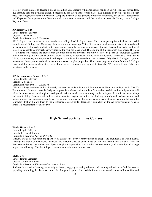biologist would in order to develop a strong scientific basis. Students will participate in hands-on activities such as virtual labs, live learning labs and activities designed specifically for the students of this class. This rigorous course moves at a quicker pace than the general course. Students will complete a variety of assignments, virtual investigations, unit quizzes, assessments and Keystone Exam preparation. Near the end of the course, students will be required to take the Pennsylvania Biology Keystone Exam.

#### **AP Biology A & B**

Course length: Full-year Credits 1.2 Science Curriculum Resource: *AP Classroom*

AP Biology is an equivalent to an introductory college level biology course. The course prerequisites include successful completion of Biology and Chemistry. Laboratory work makes up 25% of the content, with an emphasis on inquiry-based investigations that provide students with opportunities to apply the science practices. Students deepen their understanding of biological concepts by comprehensively learning the four big ideas of AP Biology and all the properties they cover. Big Idea 1: Students will explore the process that evolution drives the diversity and unity of life. Big Idea 2: Biological systems utilize free energy and molecular building blocks to grow, to reproduce, and to maintain dynamic homeostasis. Big Idea 3: Living systems store, retrieve, transmit and respond to information essential to life processes. Big Idea 4: Biological systems interact and these systems and their interactions possess complex properties. This course prepares students for the AP Biology Exam and for post-secondary study in health sciences. Students are required to take the AP Biology Exam if they are registered in this course.

#### **AP Environmental Science A & B**

Course length: Full-year Credits 1.2 Science Curriculum Resource: *AP Classroom*

This is a college-level course that ultimately prepares the student for the AP Environmental Exam and college credit. The AP Environmental Science course is designed to provide students with the scientific theories, models, and techniques that will allow them to analyze local, regional and global environmental issues. A strong emphasis is placed on science, stewardship and sustainability. Students will utilize critical, creative, logical and reflective thinking to study and evaluate natural and human induced environmental problems. The number one goal of the course is to provide students with a solid scientific foundation that will allow them to make informed environmental decisions. Completion of the AP Environmental Science Exam is a requirement for this course.

# **High School Social Studies Courses**

# **World History A & B**

Course length: Full-year Credits: 1.0 Social Studies Curriculum Resource: *Savvas MyWorld*

Students travel through time and space to investigate the diverse contributions of groups and individuals to world events. Through the study of documents, artifacts, and historic sites, students focus on the time period that stretches from the Renaissance through the modern era. Special emphasis is placed on how conflict and cooperation, and continuity and change impact world history. This is a full year course that is split into two semesters.

## **Mythology**

Course length: Semester Credits: 0.5 Social Studies

Curriculum Resource: *Edmentum Courseware: Plato*

Students interested in learning about mighty heroes, angry gods and goddesses, and cunning animals may find this course appealing. Mythology has been used since the first people gathered around the fire as a way to make sense of humankind and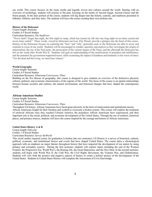our world. This course focuses on the many myths and legends woven into cultures around the world. Starting with an overview of mythology, students will journey to the past, focusing on the myths of Ancient Egypt, Ancient Greece and the Norse people. In the later portion of the course, students will dig deeper into the beliefs, customs, and traditions presented in folktales, folklore, and fairy tales. The students will leave the course creating their own trickster tale.

# **History of the Holocaust**

Course length: Semester Credits: 0.5 Social Studies

# Curriculum Resource: *The Sunflower*

"Never shall I forget that night, the first night in camp, which has turned my life into one long night seven times cursed and seven times sealed." These words, voiced by Holocaust survivor, Elie Wiesel, provide a glimpse into the heart of this course. History of the Holocaust focuses on exploring the "how" and "why" genocides such as the Holocaust are able to occur and continue to occur in our world. Students will be encouraged to wonder, question, and analyze as they investigate the origins of antisemitism, the rise of the Nazi party, the persecution of the various targets of the Nazis, and the aftermath the Holocaust has left on the world after World War II. Students will gain an understanding of the ramifications of prejudice and indifference, and the potential for government-supported terror, while examining the impact of kindness and humanity in the worst of times: "For the dead and the living, we must bear witness."

# **World Geography**

Course length: Semester Credits: 0.5 Social Studies Curriculum Resource: *Edmentum Courseware: Plato*

Building on the five themes of geography, this course is designed to give students an overview of the distinctive physical, cultural, political, and economic characteristics of the regions of the world. The focus of the course is on spatial relationships between human societies and cultures, the natural environment, and historical changes that have shaped the contemporary world.

# **African American Studies**

Course length: Semester Credits: 0.5 Social Studies Curriculum Resource: *Edmentum Courseware: Plato*

Throughout US history, African Americans have faced great adversity in the form of enslavement and institutional racism. African Americans fought for their freedom and worked to overcome a broken system. This course will explore the treatment of enslaved Africans once they reached Colonial America, the prejudices African Americans have experienced, and their important role in the social, political, and economic development of the United States. Through the use of artifacts, historical places, and primary sources, students will leave the course inspired by the courage and history of African Americans.

#### **United States History A & B**

Course length: Full-year Credits: 1.0 Social Studies

Curriculum Resource: *Savvas MyWorld*

This social studies required course for graduation is broken into two semesters; US History is a survey of historical, cultural, political, economic, and institutional factors and events that have shaped United States. The course takes a chronological approach with an emphasis on major themes throughout history that have impacted the development of our nation by using primary and secondary sources. During the first semester, students will explore topics including the end of the Western Frontier, the Progressive Era, World War I, the Roaring 20s, the Great Depression, and the New Deal. In the second semester, students will begin with World War II, the Cold War, the Civil Rights Movement, the Vietnam War, and Globalization. Students will view both the positive and negative aspects of history to create a holistic picture of the development of the United States. Students in United States History will complete the Assessment of Civic Knowledge.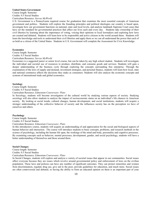# **United States Government**

Course length: Semester Credits: 0.5 Social Studies

Curriculum Resource: *Savvas MyWorld*

U.S. Government is a Pennsylvania required course for graduation that examines the most essential concepts of American government and politics. Students will explore the founding principles and political ideologies our country is based upon, investigate how our government functions on national, state and local levels, and analyze landmark Supreme Court cases that have set the standard for governmental practices that affect our lives each and every day. Students take ownership of their civil liberties by learning about the importance of voting, voicing their opinions to local lawmakers and exploring how laws are created and debated. Students will learn how to be responsible and active citizens in the world around them. Students will learn the knowledge and tools to understand their civil liberties and apply them so we can all understand the power that each of us hold as a citizen of the United States. Students in U.S. Government will complete the Assessment for Civic Knowledge.

#### **Economics**

Course length: Semester Credits: 0.5 Social Studies Curriculum Resource: *Savvas MyWorld*

Economics is a suggested junior or senior level course, but can be taken by any high school student. Students will investigate the individual and societal use of resources to produce, distribute, and consume goods and services. Students will gain a deeper understanding of the business cycle through exploring the concepts surrounding free enterprise. Through the examination of the laws of supply and demand, investment strategies, and personal finance, students will learn how local, state and national commerce affects the decisions they make as consumers. Students will also analyze the economic concepts and systems of international trade and global economics.

#### **Sociology**

Course length: Semester Credits: 0.5 Social Studies

Curriculum Resource: *Edmentum Courseware: Plato*

In Sociology, students will become investigators of the cultural world by studying various aspects of society. Studying sociology will also allow students to analyze the impact of socioeconomic status on an individual's life chances in American society. By looking at social trends, cultural changes, human development, and social institutions, students will acquire a stronger understanding of the collective behavior of society and the influences society has on the perception we have of ourselves and others.

#### **Psychology**

Course length: Semester

Credits: 0.5 Social Studies

Curriculum Resource: *Edmentum Courseware: Plato*

In this introductory course, students will acquire an understanding of and appreciation for the social and biological aspects of human behavior and interaction. The course will introduce students to basic concepts, problems, and research methods in the science of psychology, including the human life span, the workings of the mind and body, personality and cognitive processes. By examining concepts such as behavior, mental processes, development, gender, and social psychology, students will have a better understanding of themselves and those around them.

#### **Social Changes**

Course length: Semester Credits: 0.5 Social Studies

Curriculum Resource: *Edmentum Courseware: Plato*

In Social Changes, students will explore and analyze a variety of societal issues that appear in our communities. Social issues affect everyone because they are issues which revolve around governmental policy and enforcement of laws on the civilian population. These laws and policies can have any number of significant outcomes. They can protect minorities and women from discrimination, regulate drug use, give aid to the poor, provide guidelines for education, and much more. Social issues are often controversial and debated, so having the ability to form an educated opinion on them is an important part of your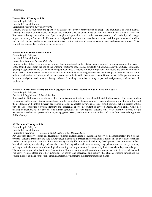# **Honors World History A & B**

Course length: Full-year Credits: 1.2 Social Studies Curriculum Resource: *Savvas MyWorld*

Students travel through time and space to investigate the diverse contributions of groups and individuals to world events. Through the study of documents, artifacts, and historic sites, students focus on the time period that stretches from the Renaissance through the modern era. Special emphasis is placed on how conflict and cooperation, and continuity and change impact the history of our world. The course is designed for students who have been very successful in previous social studies and English courses, as this course requires intensive reading, writing and research using primary and secondary sources. This is a full year course that is split into two semesters.

# **Honors United States History A & B**

Course length: Full-year

Credits: 1.2 Social Studies

Curriculum Resource: *Savvas MyWorld*

Honors United States History is more rigorous than a traditional United States History course. The course explores the history of the United States from the end of the Western Frontier to modern day. Students will examine how the culture, economics, geography, governance and civics, have changed over time. Students will study important individuals and groups from each major period. Specific social science skills such as map reading, evaluating cause/effect relationships, differentiating fact from opinion, and analysis of primary and secondary sources are included in the course content. Honors work challenges students to be more analytical and creative through advanced reading, extensive writing, expanded assignments, and real-world applications.

# **Honors Cultural and Literary Studies: Geography and World Literature A & B (Keystone Course)**

Course length: Full-year

# Credits: 1.2 English and 1.2 Social Studies

Suggested for 10th grade level students, this course is co-taught with an English and Social Studies teacher. The course studies geographic, cultural and literary connections in order to facilitate students gaining greater understanding of the world around them. Students will explore different geographic locations connected to various pieces of world literature set in a variety of time periods. The connection between literature and geography allows the student to develop literary analysis skills, while also making connections to the physical and human geography of each region. Students will create narrative stories, design persuasive speeches and presentations regarding global issues, and construct case studies and travel brochures relating to our fields of study.

# **AP European History A & B**

Course length: Full-year

Credits: 1.2 Social Studies

Curriculum Resource: *AP Classroom* and *A History of the Modern World*

AP European History focuses on developing students' understanding of European history from approximately 1450 to the present. Students are required to take the Advanced Placement European History exam as a part of this course. The course has students investigate the content of European history for significant events, individuals, developments, and processes in four historical periods, and develop and use the same thinking skills and methods (analyzing primary and secondary sources, making historical comparisons, chronological reasoning, and argumentation) employed by historians when they study the past. The course also provides five themes (interaction of Europe and the world; poverty and prosperity; objective knowledge and subjective visions; states and other institutions of power; and individual and society) that students explore throughout the course in order to make connections among historical developments in different times and places.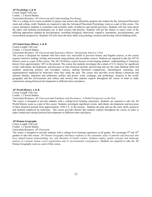## **AP Psychology A & B**

Course length: Full-year Credits: 1.2 Social Studies

Curriculum Resource: *AP Classroom* and *Understanding Psychology*

This is a college-level course available to juniors and seniors that ultimately prepares the student for the Advanced Placement exam and college credit. Students are required to take the Advanced Placement Psychology exam as a part of this course. The course introduces students to systematic and scientific study of behavior and mental processes. Students will also learn about the ethics and methods psychologists use in their science and practice. Students will get the chance to assess some of the differing approaches adopted by psychologists, including biological, behavioral, cognitive, humanistic, psychodynamic, and sociocultural perspectives. Students will also learn the basic skills of psychology research and develop critical thinking skills.

## **AP United States History A & B**

Course Length: Full-year

Credits: 1.2 Social Studies

Curriculum Resource: *AP Classroom* and *Experience History: Interpreting America's Past*

The course is designed for students who have been very successful in previous history and English courses, as the course requires intensive reading, writing, and research using primary and secondary sources. Students are required to take the AP US History exam as a part of this course. The AP US History course focuses on developing students' understanding of American history from approximately 1491 to the present. The course has students investigate the content of U.S. history for significant events, individuals, developments, and processes in nine historical periods, and develop and use the same thinking skills and methods (analyzing primary and secondary sources, making historical comparisons, chronological reasoning, and argumentation) employed by historians when they study the past. The course also provides seven themes (American and national identity; migration and settlement; politics and power; work, exchange, and technology; America in the world; geography and the environment; and culture and society) that students explore throughout the course in order to make connections among historical developments in different times and places.

#### **AP World History A & B**

Course Length: Full-year

Credits: 1.2 Social Studies

Curriculum Resource: *AP Classroom* and *Traditions and Encounters: A Global Perspective on the Past*

The course is designed to provide students with a college-level learning experience. Students are required to take the AP World History exam as a part of this course. Students investigate significant events, individuals, developments and processes in three historical periods from approximately 1450 C.E. to the present. Students develop and use the same skills, practices and methods employed by historians. The course provides themes that students explore throughout the course in order to make connections among historical developments in different times and places.

#### **AP Human Geography**

Course Length: Full-year Credits: 1.2 Social Studies

Curriculum Resource: *AP Classroom*

The course is designed to provide students with a college-level learning experience in all grades. We encourage  $9<sup>th</sup>$  and  $10<sup>th</sup>$ graders to take this course. AP Human Geography introduces students to the systematic study of patterns and processes that have shaped human understanding, use, and alteration of Earth's surface. Students employ spatial concepts and landscape analysis to examine human social organization and its environmental consequences. Students are required to take the AP Human Geography exam as a part of this course.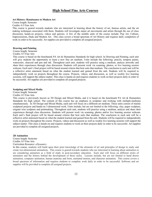# **High School Fine Arts Courses**

# **Art History: Renaissance to Modern Art**

Course length: Semester

Credits: 0.5 Fine Arts

This course is geared towards students who are interested in learning about the history of art, famous artists, and the art making techniques associated with them. Students will investigate major art movements and artists through the use of class discussion, hands-on projects, videos and quizzes. A few of the notable units of the course include: Pop Art, Cubism, Impressionism, Dada and Modern Art. This class covers a broad spectrum of Art History and requires daily completion of work in order to be successful. Art supplies are provided to complete all assigned projects.

# **Drawing and Painting**

Course length: Semester

Credits: 0.5 Fine Arts

This course is based on the benchmark PA Art & Humanities Standards for high school. In Drawing and Painting, each unit will give students the opportunity to learn a new fine art medium. Units include the following: pencils, tempera paints, watercolor, charcoal and pen and ink. Throughout each unit, students will practice using a medium, analyze artworks and share their experiences through class discussion. Students will present work via scanning, photos, or live learning session webcam. Each unit's final project will be based around criteria that best suits that medium. The conclusion to each unit will be a reflective artist statement based on what the student learned and gained from the unit. Students will be required to independently work on projects throughout the course. Projects, videos, and discussion, as well as weekly live learning sessions, will support the subject matter. This class is hands-on and requires students to work on their projects daily in order to be successful. Art supplies are provided to complete all assigned projects.

#### **Sculpting and Mixed Media**

Course length: Semester

# Credits: 0.5 Fine Arts

This course is previously known as 3D Design and Mixed Media, and it is based on the benchmark PA Art & Humanities Standards for high school. The content of this course has an emphasis in sculpture and working with multiple-mediums simultaneously. In 3D Design and Mixed Media, each unit will focus on a different art medium. These units consist of mainly sculptural projects and hands-on 3-dimensional work. Units include, but are not limited to the following: clay, paper sculpture, origami wire sculpture and printmaking. Throughout each unit, students will practice using a medium, analyze and share their experiences through class discussion. Students will present work via scanning, photos and/or live learning session webcam. Each unit's final project will be based around criteria that best suits that medium. The conclusion to each unit will be a reflective artist statement based on what the student learned and gained from the unit. Students will be required to independently work on projects throughout the course. Projects, videos and discussion as well as weekly live learning sessions will support the subject matter. This class is hands-on and requires students to work on their projects daily in order to be successful. Art supplies are provided to complete all assigned projects.

#### **2D Animation**

Course length: Semester Credits: 0.5 Fine Arts Curriculum Resource: *eDynamics*

In this course, students will build upon their prior knowledge of the elements of art and principles of design to study and create two-dimensional animations. This course is geared towards students who are interested in learning about animation or are considering animation as a field of study in post-secondary education. Each unit will focus on different styles of animation and the history behind the development of those styles. Lessons include, but are not limited to hand drawn animation, computer animation, human anatomy and form, animated motion, and character animation. This course covers a broad spectrum of information and requires students to complete work daily in order to be successful. Software and art supplies will be provided to complete all assigned projects.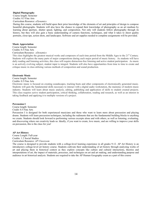# **Digital Photography**

Course length: Semester Credits: 0.5 Fine Arts Curriculum Resource: *eDynamics*

During this course, students will build upon their prior knowledge of the elements of art and principles of design to compose beautiful photographs. Students will also have the chance to expand their knowledge of photography as an art medium by learning about aperture, shutter speed, lighting, and composition. Not only will students follow photography through its history, but they will also gain a basic understanding of camera functions, techniques, and what it takes to shoot quality portraits, close-ups, action shots, and landscapes. Software and art supplies needed to complete assignments will be provided.

# **Music Appreciation**

Course length: Semester Credits: 0.5 Fine Arts Curriculum Resource: *eDynamics*

This class highlights the greatest musical works and composers of each time period from the Middle Ages to the  $21<sup>st</sup>$  Century. Students will explore the many parts of major compositions during each major period of music history. As students will have daily reading and listening activities, this class will require distraction-free listening and active student participation. As music is an actively evolving subject, student input is integral. Students will also have opportunities from time to time to create and critique music in class utilizing various methods of composition and sound production.

# **Electronic Music**

# Course length: Semester

# Credits: 0.5 Fine Arts

Electronic music is focused on creating soundscapes, tracking beats and other components of electronically generated music. Students will gain the fundamental skills necessary to interact with a digital audio workstation, the mainstay of modern music industry. Students will learn about music analysis, editing, publishing and application of skills to student created projects. This class requires active student participation, critical thinking, collaboration, reading and research, as well as an interest in taking feedback and applying it to multiple versions of a project.

# **Percussion I**

Course length: Semester

# Credit: 0.5 Fine Arts

Percussion I is designed for both experienced musicians and those who want to learn more about percussion and playing drums. Students will learn percussion techniques, including the rudiments that are the fundamental building blocks to anything we create. Students should look forward to performing various excerpts alone and with others, as well as listening, evaluating, and discovering where our creativity leads us. Ideally, if you want to create, love music, and are willing to improve your skills on percussion, this is the class for you!

# **AP Art History**

Course Length: Full-year Credits: 1.2 Social Studies Curriculum Resource: *AP Classroom*

The course is designed to provide students with a college-level learning experience in all grades 9-12. AP Art History is an introductory college-level art history course. Students cultivate their understanding of art history through analyzing works of art and placing them in historical context as they explore concepts like culture and cultural interactions, theories and interpretations of art, the impact of materials, processes, and techniques on art and art making, and understanding purpose and audience in art historical analysis. Students are required to take the AP Human Geography exam as a part of this course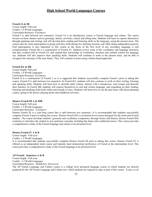# **High School World Languages Courses**

# **French IA & IB**

Course length: Full-year Credits: 1.0 World Languages Curriculum Resource: *Extempore*

French I is split between two semesters. French IA is an introductory course to French language and culture. The course focuses on basic themes such as greetings, family, activities, school and telling time. Students will learn to express themselves through speaking and writing, and will develop their reading and listening skills in the language, using the present tense. The course asks for some participation in group activities, both during live learning sessions, and while doing independent projects. Oral participation is also important to this course as the focus of the first level of any secondary language is oral communication. French IB is a continuation of French IA. Students review some of the vocabulary and language structures that they worked with in French IA, and expand their knowledge of vocabulary, structure and cultural context for language use. Students will also improve their speaking skills. Students will continue to work in the present tense, and be able to recognize the structure of the near future. They will continue to learn using a theme-based approach.

# **French IIA & IIB**

Course length: Full-year Credits: 1.0 World Languages Curriculum Resource: *Extempore*

French II is a continuation of French I, so it is suggested that students successfully complete French I prior to taking this course. French II is split between two semesters. In French IIA, students will also continue to work on their writing, listening and speaking skills. Students will learn how to describe daily routine, interact with a salesperson, read recipes and describe their families. In French IIB, students will express themselves in oral and written language, and expanding on their reading, listening and speaking skills both within and outside of class. Students will learn how to use the past tense, talk about planning a party, going to the doctor, playing sports and childhood activities.

# **Honors French III A & IIIB**

Course length: Full-year Credits: 1.2 World Languages

#### Curriculum Resource: *Extempore*

Honors French III is a year-long course that is split between two semesters. It is recommended that students successfully complete French II prior to taking this course. Honors French IIIA is an honors-level course designed for the motivated French student. The course develops students' grammar and vocabulary competency through stories and themes. Honors French IIIA continues to introduce the student to new grammar concepts, including the future and conditional tenses. This course provides a comprehensive study of the French language and culture at an advanced level.

# **Honors French IV A & B**

Course length: Full-year Credits: 1.2 World Languages It is recommended that students successfully complete Honors French III prior to taking this course. Honors French IV is offered as an independent study course and students must demonstrate proficiency of French at the intermediate level. This course provides a comprehensive study of the French language at an advanced level.

# **AP French: Semesters A & B**

Course length: Full-year Credits: 1.2 World Languages Curriculum Resource: *Middlebury Interactive*

The AP French Language and Culture course is a college level advanced language course in which students are directly prepared for the AP French Language and Culture test, which students are required to take as part of this course. It uses, as its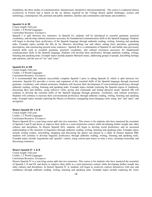foundation, the three modes of communication: interpersonal, interpretive and presentational. The course is conducted almost exclusively in French and is based on the six themes required by the College Board: global challenges, science and technology, contemporary life, personal and public identities, families and communities and beauty and aesthetics.

#### **Spanish IA & IB**

Course length: Full-year Credits: 1.0 World Languages

Curriculum Resource: *Extempore*

Spanish I is split between two semesters. In Spanish IA, students will be introduced to essential grammar, practical vocabulary, and develop cultural awareness necessary for foundational communication skills in the Spanish language. Students will begin to develop basic proficiency of the Spanish language through authentic reading, writing, listening and speaking tasks. Example topics include the Día de los Muertos, describing one and others, asking basic questions, generating descriptions, and constructing present tense sentences. Spanish IB is a continuation of Spanish IA and builds onto previously learned skills such as essential grammar, practical vocabulary, and cultural awareness necessary for fundamental communication skills in the Spanish language. Students will develop basic proficiency through authentic reading, writing, listening and speaking tasks. Example topics include popular Mariachi music, addressing groups of people, describing feelings and emotions, and the uses of "ser" and "estar".

# **Spanish IIA & IIB**

Course length: Full-year Credits: 1.0 World Languages Curriculum Resource: *Extempore*

It is recommended that students successfully complete Spanish I prior to taking Spanish II, which is split between two semesters. Spanish IIA provides a review and expansion of the essential skills of the Spanish language through increased grammar, vocabulary, and cultural awareness. Students will increase their development of conversational proficiency through authentic reading, writing, listening and speaking tasks. Example topics include exploring the Spanish region of Andalucía, discussing likes and dislikes, using reflexive verbs, giving oral commands and stating physical needs. Spanish IIB will continue to develop the essential skills of the Spanish language through grammar, vocabulary, and cultural awareness. Students will continue to increase their conversational proficiency through authentic reading, writing, listening and speaking tasks. Example topics include exploring the Mayan civilization, conjugating stem-changing verbs, using "por" and "para", and navigation.

## **Honors Spanish III A & B**

Course length: Full-year Credits: 1.2 World Languages Curriculum Resource: *Extempore*

Honors Spanish III is a year-long course split into two semesters. This course is for students who have mastered the essentials of Spanish I and II and desire to improve their skills in a semi-immersion context while developing further insight into other cultures and disciplines. In Honors Spanish IIIA, students will begin to develop social proficiency and an increased understanding of the elements of linguistics through authentic reading, writing, listening and speaking tasks. Example topics include writing recipes, storytelling, shopping and discussing the games one played as a child. In Honors Spanish IIIB, students will continue to develop linguistic proficiency through authentic reading, writing, listening and speaking tasks. Example topics include Argentinian and "gaucho" culture, using various past tenses to relay a story, claiming ownership, and discussing commerce.

## **Honors Spanish IV A & B**

Course length: Full-year

Credits: 1.2 World Languages Curriculum Resource: *Extempore*

Honors Spanish IV is a year-long course split into two semesters. This course is for students who have mastered the essentials of Spanish I, II and III, and desire to improve their skills in a semi-immersion context while developing further insight into other cultures and disciplines. In Honors Spanish IV A, students will begin to creatively express themselves with ease and confidence through authentic reading, writing, listening and speaking tasks. Example topics include exploring the Aztec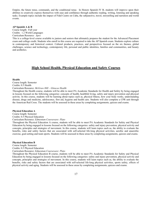Empire, the future tense, commands, and the conditional tense. In Honors Spanish IV B, students will improve upon their abilities to creatively express themselves with ease and confidence through authentic reading, writing, listening and speaking tasks. Example topics include the impact of Fidel Castro on Cuba, the subjunctive, travel, storytelling and narration and world events.

## **AP Spanish A & B**

Course length: Full year Credits: 1.2 World Languages Curriculum Resource: *Apex*

This is a college-level course available to juniors and seniors that ultimately prepares the student for the Advanced Placement exam and college credit. Students who enroll in this course are required to take the AP Spanish exam. Students explore culture in contemporary and historical context. Cultural products, practices, and perspectives focused on the six themes, global challenges, science and technology, contemporary life, personal and public identities, families and communities, and beauty and aesthetics.

# **High School Health, Physical Education and Safety Courses**

# **Health**

Course length: Semester

Credits: 0.5 Health

Curriculum Resource: *McGraw Hill – Glencoe Health*

Throughout the Health course, students will be able to meet PA Academic Standards for Health and Safety by being engaged in lessons focused on the following categories: concepts of health, healthful living, safety and injury prevention and physical activity. In this course, students will be learning about topics such as, physical fitness, how your body works, understanding disease, drugs and medicine, adolescence, first aid, hygiene and health care. Students will also complete a CPR unit through the American Red Cross. The students will be assessed in these areas by completing assignments, quizzes and exams.

# **Physical Education A**

Course length: Semester Credits: 0.5 Physical Education

Curriculum Resource: *Edmentum Courseware: Plato*

Throughout the Physical Education A course, students will be able to meet PA Academic Standards for Safety and Physical Education by being engaged in lessons focused on the following categories: safety and injury prevention, physical activity and concepts, principles and strategies of movement. In this course, students will learn topics such as, the ability to evaluate the benefits, risks and safety factors that are associated with self-selected life-long physical activities, aerobic and anaerobic exercise, goal-setting and team sports. Students will be assessed in these areas by completing assignments, quizzes and exams.

# **Physical Education B**

Course length: Semester Credits: 0.5 Physical Education Curriculum Resource: *Edmentum Courseware: Plato*

 Throughout the Physical Education B course, students will be able to meet PA Academic Standards for Safety and Physical Education by being engaged in lessons focused on the following categories: safety and injury prevention, physical activity and concepts, principles and strategies of movement. In this course, students will learn topics such as, the ability to evaluate the benefits, risks and safety factors that are associated with self-selected life-long physical activities, sports safety, effects of physical activity and aging. Students will be assessed in these areas by completing assignments, quizzes and exams.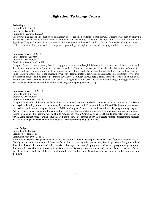# **High School Technology Courses**

#### **Technology**

Course length: Semester Credits: 0.5 Technology Curriculum Resource: *CodeHS*

The overarching goal of Introduction to Technology is to strengthen students' digital literacy. Students will begin by studying the history, current events, and the future of computers and technology, as well as the implications of living in this modern digital age. They will also explore computer hardware, software, and network, build skills with Internet searching and research, explore computer ethics, practice basic computer programming, and explore careers and emerging trends in technology.

# **Computer Science IA & IB**

Course length: Full-year Credits: 1.0 Technology Curriculum Resource: *Code HS*

Computer Science I uses a mastery-based coding program, and even though it is broken into two semesters it is recommended that students complete both Computer Science IA and IB. Computer Science part A teaches the foundations of computer science and basic programming, with an emphasis on helping students develop logical thinking and problem solving skills. Once students complete the course, they will have learned material equivalent to a semester college introductory course in Computer Science and be able to program in JavaScript. Computer Science part B builds upon what was learned in part A using project based learning. Students will use the strategies learned in part A to create complex programming projects that will challenge and enhance their knowledge of the programming language JavaScript.

#### **Computer Science IIA & IIB**

Course length: Full-year Credits: 1.0 Technology Curriculum Resource: *Code HS*

Computer Science II builds upon the foundations of computer science established in Computer Science I, and since it utilizes a mastery-based coding product, it is recommended that students take both Computer Science IIA and IIB. Prerequisites include successful completion of Computer Science I A&B. In Computer Science IIA, students will use the programming language Python.Once students complete the course, they will have learned material equivalent to a semester college introductory course in Computer Science and will be able to program in Python. Computer Science IIB builds upon what was learned in part A, using project based learning.Students will use the strategies learned in part A to create complex programming projects that will challenge and enhance their knowledge of the programming language Python.

## **Game Design**

Course length: Semester Credits: 0.5 Technology Curriculum Resource: *Code HS*

In order to take Game Design, students must have successfully completed Computer Science IA or  $7<sup>th</sup>$  Grade Computing Ideas. Throughout this course, students will learn the foundations of creating video games using JavaScript.Game Design is broken down into lessons that consist of video tutorials, short quizzes, example programs, and written programming exercises. Students will learn about conditional statements, mouse events, arrays, loops and many other Game Design concepts. At the end of the course, students will have created several games in the Code HS platform and will be ready to begin projects on their own.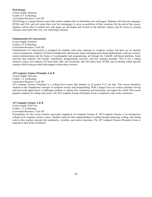# **Web Design**

Course length: Semester Credits: 0.5 Technology Curriculum Resource: *Code HS*

Web Design is a project-based course that teaches students how to build their own web pages. Students will learn the languages HTML and CSS, and will create their own live homepages to serve as portfolios of their creations. By the end of this course, students will be able to explain how web pages are developed and viewed on the Internet, analyze and fix errors in existing websites, and create their very own multi-page websites.

# **Fundamentals of Cybersecurity**

Course length: Semester Credits: 0.5 Technology Curriculum Resource: *Code HS*

Fundamentals of Cybersecurity is designed for students with some exposure to computer science, but there are no specific course prerequisites. Students will learn foundational cybersecurity topics including networking fundamentals, software security, system administration and the basics of cryptography and programming, all through the CodeHS web-based platform. Some activities that students will include: simulations, programming exercises, and free response prompts. This is not a coding intensive course, but students will learn basic SQL and JavaScript, and will utilize basic HTML and JavaScript within specific contexts while being provided with support within those contexts.

# **AP Computer Science Principles A & B**

Course length: Full-year Credits: 1.2 Technology Curriculum Resource: *Code HS*

AP Computer Science Principles is a college-level course that students in all grades 9-12 can take. The course introduces students to the foundational concepts of computer science and programming. With a unique focus on creative problem solving and real-world applications, it challenges students to explore how computing and technology can impact the world. This course prepares students for college and career. The AP Computer Science Principles Exam is required to take at the conclusion.

# **AP Computer Science A & B**

Course length: Full-Year Credits: 1.2 Technology Curriculum Resource: *Code HS*

Prerequisites for this course include successful completion of Computer Science II. AP Computer Science is an introductory college-level computer science course. Students cultivate their understanding of coding through analyzing, writing, and testing code as they explore concepts like modularity, variables, and control structures. The AP Computer Science Principles Exam is required to take at the conclusion.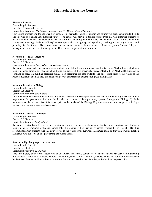# **High School Elective Courses**

#### **Financial Literacy**

Course length: Semester Credits: 0.5 Required Elective

Curriculum Resource: *The Missing Semester and The Missing Second Semester*

This course prepares you for life after high school. This semester course for juniors and seniors will teach you important skills and knowledge to shape your financial future. The course will provide a toolkit of resources that will empower students to make informed financial decisions about real world topics including income, money management, credit, interest, as well as saving and investing. Students will explore concepts such as budgeting and spending, checking and saving accounts, and planning for the future. The course also teaches sound practices in the areas of finances, types of loans, debt, risk management, taxes, and credit management. This course is a graduation requirement.

#### **Keystone Essentials - Algebra**

Course length: Semester

Credits: 0.5 Elective Curriculum Resources: *Study Island* and *Get More Math*

Keystone Essentials Algebra is a course for students who did not score proficiency on the Keystone Algebra I test, which is a requirement for graduation. Students should take this course if they previously passed Algebra I (or Algebra IB) but need to continue to focus on building algebraic skills. It is recommended that students take this course prior to the retake of the Algebra Keystone exam so they can practice algebraic concepts and acquire strong test-taking skills.

# **Keystone Essentials - Biology**

Course length: Semester Credits: 0.5 Elective Curriculum Resource: *Study Island*

Keystone Essentials Biology is a course for students who did not score proficiency on the Keystone Biology test, which is a requirement for graduation. Students should take this course if they previously passed Biology (or Biology B). It is recommended that students take this course prior to the retake of the Biology Keystone exam so they can practice biology concepts and acquire strong test-taking skills.

# **Keystone Essentials - Literature**

Course length: Semester Credits: 0.5 Elective Curriculum Resource: *Study Island*

Keystone Essential Literature is a course for students who did not score proficiency on the Keystone Literature test, which is a requirement for graduation. Students should take this course if they previously passed English II (or English IIB). It is recommended that students take this course prior to the retake of the Keystone Literature exam so they can practice English Language Arts concepts and acquire strong test-taking skills.

# **American Sign Language: Introduction**

Course length: Semester Credits: 0.5 Elective Curriculum Resource: *eDynamics*

This introductory course will expose you to vocabulary and simple sentences so that the student can start communicating immediately. Importantly, students explore Deaf culture, social beliefs, traditions, history, values and communities influenced by deafness. Students will learn how to introduce themselves, describe their families, and school and express colors.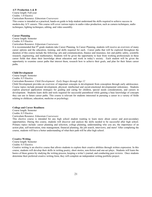# **A/V Production A & B**

Course length: Full-year Credits: 1.0 Elective Curriculum Resource: *Edmentum Courseware*

This course is intended as a practical, hands-on guide to help student understand the skills required to achieve success in modern-day A/V careers. This course will cover various topics in audio-video production, such as camera techniques, audio techniques, lighting techniques, editing, and video assembly.

# **Career Planning**

Course length: Semester Credits: 0.5 Elective Curriculum Resource: *Edmentum Courseware*

It is recommended that  $9<sup>th</sup>$  grade students take Career Planning. In Career Planning, students will receive an overview of many career options and the education, training, and skills required for each. Career paths that will be explored throughout the duration of this course include the following: arts and communication, finance and insurance, law and public safety, scientific research, engineering, and mathematics. Students will be given the opportunity to hear from working professionals in these career fields that share their knowledge about education and work in today's society. Each student will be given the opportunity to examine career paths that interest them, research how to achieve their goals, and plan for their future career paths.

# **Child Development**

Course length: Semester Credits: 0.5 Elective

# Curriculum Resource: *Child Development: Early Stages through Age 12*

Child Development provides an overview of important concepts in development from conception through early adolescence. Course topics include prenatal development, physical, intellectual and social-emotional developmental milestones. Students explore practical application strategies for guiding and caring for children, special needs considerations, and careers in development. Students learn skills and tools required for successful parenthood while gaining a base knowledge of concepts they can use in future career paths. This course is relevant for students interested in pursuing a career in a variety of fields relating to childcare, education, medicine or psychology.

# **College and Career Readiness**

Course length: Semester Credits: 0.5 Elective Curriculum Resource: *Edmentum Courseware*

This elective course is intended for any high school student wanting to learn more about career and post-secondary opportunities. During this course, students will discover and analyze the skills needed to be successful after high school. Primary topics include: career planning and selection, college planning, understanding who you are, the importance of an action plan, self-motivation, time management, financial planning, the job search, interviews, and more! After completing the course, students will have a better understanding of what their path will be after high school.

# **Creative Writing**

Course length: Semester Credits: 0.5 Elective

Creative writing is an elective course that allows students to explore their creative abilities through written expression. In this course, students will develop their skills in writing poetry, short stories, non-fiction and one-act plays. Students will learn the basics of these genres by studying the writing process, keeping a writer's journal, and conducting peer reviews. Once students determine their preferred creative writing form, they will complete an independent writing portfolio project.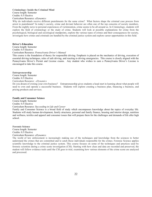# **Criminology: Inside the Criminal Mind**

Course length: Semester

Credits: 0.5 Elective

Curriculum Resource: *eDynamics*

Why do individuals receive different punishments for the same crime? What factors shape the criminal case process from arrest to punishment? In today's society, crime and deviant behavior are often one of the top concerns of society members. From the nightly news to personal experiences of victimization, crime seems to be all around us. In Criminology, students will explore the field of criminology or the study of crime. Students will look at possible explanations for crime from the psychological, biological and sociological standpoints, explore the various types of crimes and their consequences for society, investigate how crimes and criminals are handled by the criminal justice system and explore career opportunities in this field.

# **Driver's Education**

Course length: Semester Credits: 0.5 Elective Curriculum Resource: *Pennsylvania Driver's Manual*

This course is the foundation of theory for responsible driving. Emphasis is placed on the mechanics of driving, execution of essential driving techniques, rules of safe driving, and reacting to driving emergencies. This course is closely aligned with the Pennsylvania Driver's Permit and License exams. Any student who wishes to earn a Pennsylvania Driver's License is encouraged to take this course.

# **Entrepreneurship**

Course length: Semester Credits: 0.5 Elective

Curriculum Resource: *eDynamics*

Do you dream of owning your own business? Entrepreneurship gives students a head start in learning about what people will need to own and operate a successful business. Students will explore creating a business plan, financing a business, and pricing products and services.

# **Family and Consumer Science**

Course length: Semester Credits: 0.5 Elective

# Curriculum Resource: *Succeeding in Life and Career*

Family and Consumer Science is a broad field of study which encompasses knowledge about the topics of everyday life. Students will study human development, family structures, personal and family finance, housing and interior design, nutrition and wellness, textiles and apparel and consumer issues that will prepare them for the challenges and demands of life after high school.

**Forensic Science**  Course length: Semester Credits: 0.5 Elective Curriculum Resource: *eDynamics*

The world of law enforcement is increasingly making use of the techniques and knowledge from the sciences to better understand the crimes that are committed and to catch those individuals responsible for the crimes. Forensic Science applies scientific knowledge to the criminal justice system. This course focuses on some of the techniques and practices used by forensic scientists during a crime scene investigation (CSI). Starting with how clues and data are recorded and preserved, the student will follow evidence trails until the CSI goes to trial, examining how various elements of the crime scene are analyzed and processed.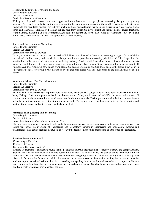# **Hospitality & Tourism: Traveling the Globe** Course length: Semester

Credits: 0.5 Elective

Curriculum Resource: *eDynamics*

With greater disposable income and more opportunities for business travel, people are traversing the globe in growing numbers. As a result, hospitality and tourism is one of the fastest growing industries in the world. This course will introduce students to the hospitality and tourism industry, including hotel and restaurant management, cruise ships, spas, resorts, theme parks, and other areas. Students will learn about key hospitality issues, the development and management of tourist locations, event planning, marketing, and environmental issues related to leisure and travel. The course also examines some current and future trends in the field as well as career opportunities in the industry.

# **Sports and Entertainment Marketing**

Course length: Semester Credits: 0.5 Elective Curriculum Resource: *eDynamics*

Have you ever wished to play sports professionally? Have you dreamed of one day becoming an agent for a celebrity entertainer? In this course, students will have the opportunity to explore basic marketing principles and delve deeper into the multi-billion dollar sports and entertainment marketing industry. Students will learn about how professional athletes, sports teams, and well known entertainers are marketed as commodities and how some of them become billionaires as a result. If students have ever wondered how things work behind the scenes of a major sporting event such as the Super Bowl or even entertained the idea of playing a role in such an event, then this course will introduce them to the fundamentals of such a career.

# **Veterinary Science: The Care of Animals**

Course length: Semester Credits: 0.5 Elective Curriculum Resource: *eDynamics*

As animals play an increasingly important role in our lives, scientists have sought to learn more about their health and wellbeing. Taking a look at the pets that live in our homes, on our farms, and in zoos and wildlife sanctuaries, this course will examine some of the common diseases and treatments for domestic animals. Toxins, parasites, and infectious diseases impact not only the animals around us, but at times humans as well! Through veterinary medicine and science, the prevention and treatment of diseases and health issues is studied and applied.

# **Principles of Engineering and Technology**

Course length: Semester

Credits: 0.5 Science

# Curriculum Resource: *Edmentum Courseware: Plato*

This one-semester course is intended to help students familiarize themselves with engineering systems and technologies. This course will cover the evolution of engineering and technology, careers in engineering and engineering systems and technologies. This course requires the student to research the technologies behind engineering and the types of engineering.

# **Reading Foundations A & B**

Course length: Full Year Credits: 1.0 Elective Curriculum Resource: *Read 180*

Reading Foundations is an elective course that helps students improve their reading proficiency, fluency, and comprehension. Students must be recommended to take this course by a teacher. The course blends the best of online instruction with the important aspects of teacher-directed instruction to empower struggling readers and close the reading and writing gap. The class will focus on the foundational skills that students may have missed in their earlier reading instruction and enables students to practice critical skills such as basic decoding and spelling. It also enables students to hone the important literacy skills they need to not only become fluent readers but comprehending readers. Syllable types, prefixes and suffixes, and Greek and Latin roots are critical components of the class.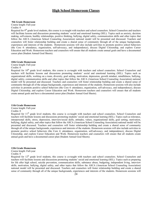# **High School Homeroom Classes**

#### **9th Grade Homeroom**

Course length: Full-year Credits: 0

Required for  $9<sup>th</sup>$  grade level students, this course is co-taught with teachers and school counselors. School Counselors and teachers will facilitate lessons and discussions promoting students' social and emotional learning (SEL). Topics such as anxiety, decision making, self-esteem, healthy relationships, positive thinking, bullying, digital safety, communication skills and other topics that follow the ASCA (American School Counseling Association) national model will be presented and discussed. Teachers and counselors will foster relationship building and create a shared sense of community through all of the unique backgrounds, experiences and interests of the students. Homeroom sessions will also include activities to promote positive school behaviors (the Core 4: attendance, organization, self-advocacy, and independence), discuss Digital Citizenship, and explore Career Education and Work. Homeroom teachers and counselors will ensure that all students create annual goals and have a documented career plan (Student Annual Goal Sheets).

# **10th Grade Homeroom**

Course length: Full-year Credits: 0

Required for  $10<sup>th</sup>$  grade level students, this course is co-taught with teachers and school counselors. School Counselors and teachers will facilitate lessons and discussions promoting students' social and emotional learning (SEL). Topics such as organizational skills, working on a team, diversity, goal setting, motivation, depression, growth mindset, mindfulness, bullying, digital safety, communication skills and other topics that follow the ASCA (American School Counseling Association) national model will be presented and discussed. Teachers and counselors will foster relationship building and create a shared sense of community through all of the unique backgrounds, experiences and interests of the students. Homeroom sessions will also include activities to promote positive school behaviors (the Core 4: attendance, organization, self-advocacy, and independence), discuss Digital Citizenship, and explore Career Education and Work. Homeroom teachers and counselors will ensure that all students create annual goals and have a documented career plan (Student Annual Goal Sheets).

# **11th Grade Homeroom**

Course length: Full-year

#### Credits: 0

Required for  $11<sup>th</sup>$  grade level students, this course is co-taught with teachers and school counselors. School Counselors and teachers will facilitate lessons and discussions promoting students' social and emotional learning (SEL). Topics such as tolerance, interpersonal skills, stress, depression, interview/social skills, attitudes, values, organizational skills, goal setting, motivation, bullying, digital safety, and other topics that follow the ASCA (American School Counseling Association) national model will be presented and discussed. Teachers and counselors will foster relationship building and create a shared sense of community through all of the unique backgrounds, experiences and interests of the students. Homeroom sessions will also include activities to promote positive school behaviors (the Core 4: attendance, organization, self-advocacy, and independence), discuss Digital Citizenship, and explore Career Education and Work. Homeroom teachers and counselors will ensure that all students create annual goals and have a documented career plan (Student Annual Goal Sheets).

#### **12th Grade Homeroom**

Course length: Full-year

# Credits: 0

Required for  $12<sup>th</sup>$  grade level students, this course is co-taught with teachers and school counselors. School Counselors and teachers will facilitate lessons and discussions promoting students' social and emotional learning (SEL). Topics such as preparing for life after high school, suicide prevention, communication skills, substance abuse, budgeting, independent living, interview skills, motivation, bullying, digital safety, and other topics that follow the ASCA (American School Counseling Association) national model will be presented and discussed. Teachers and counselors will foster relationship building and create a shared sense of community through all of the unique backgrounds, experiences and interests of the students. Homeroom sessions will